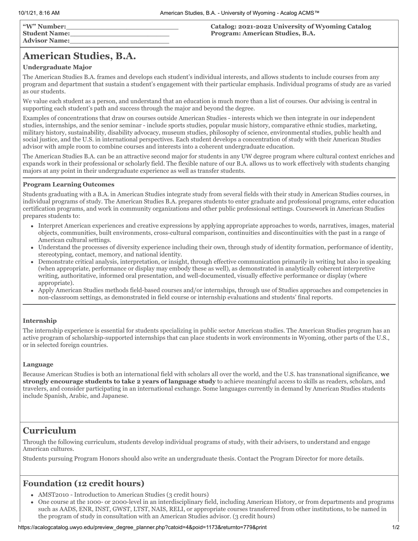# **American Studies, B.A.**

### **Undergraduate Major**

The American Studies B.A. frames and develops each student's individual interests, and allows students to include courses from any program and department that sustain a student's engagement with their particular emphasis. Individual programs of study are as varied as our students.

We value each student as a person, and understand that an education is much more than a list of courses. Our advising is central in supporting each student's path and success through the major and beyond the degree.

Examples of concentrations that draw on courses outside American Studies - interests which we then integrate in our independent studies, internships, and the senior seminar - include sports studies, popular music history, comparative ethnic studies, marketing, military history, sustainability, disability advocacy, museum studies, philosophy of science, environmental studies, public health and social justice, and the U.S. in international perspectives. Each student develops a concentration of study with their American Studies advisor with ample room to combine courses and interests into a coherent undergraduate education.

The American Studies B.A. can be an attractive second major for students in any UW degree program where cultural context enriches and expands work in their professional or scholarly field. The flexible nature of our B.A. allows us to work effectively with students changing majors at any point in their undergraduate experience as well as transfer students.

### **Program Learning Outcomes**

Students graduating with a B.A. in American Studies integrate study from several fields with their study in American Studies courses, in individual programs of study. The American Studies B.A. prepares students to enter graduate and professional programs, enter education certification programs, and work in community organizations and other public professional settings. Coursework in American Studies prepares students to:

- Interpret American experiences and creative expressions by applying appropriate approaches to words, narratives, images, material objects, communities, built environments, cross-cultural comparison, continuities and discontinuities with the past in a range of American cultural settings.
- Understand the processes of diversity experience including their own, through study of identity formation, performance of identity, stereotyping, contact, memory, and national identity.
- Demonstrate critical analysis, interpretation, or insight, through effective communication primarily in writing but also in speaking (when appropriate, performance or display may embody these as well), as demonstrated in analytically coherent interpretive writing, authoritative, informed oral presentation, and well-documented, visually effective performance or display (where appropriate).
- Apply American Studies methods field-based courses and/or internships, through use of Studies approaches and competencies in non-classroom settings, as demonstrated in field course or internship evaluations and students' final reports.

### **Internship**

The internship experience is essential for students specializing in public sector American studies. The American Studies program has an active program of scholarship-supported internships that can place students in work environments in Wyoming, other parts of the U.S., or in selected foreign countries.

### **Language**

Because American Studies is both an international field with scholars all over the world, and the U.S. has transnational significance, **we strongly encourage students to take 2 years of language study** to achieve meaningful access to skills as readers, scholars, and travelers, and consider participating in an international exchange. Some languages currently in demand by American Studies students include Spanish, Arabic, and Japanese.

# **Curriculum**

Through the following curriculum, students develop individual programs of study, with their advisers, to understand and engage American cultures.

Students pursuing Program Honors should also write an undergraduate thesis. Contact the Program Director for more details.

### **Foundation (12 credit hours)**

- AMST2010 Introduction to American Studies (3 credit hours)
- One course at the 1000- or 2000-level in an interdisciplinary field, including American History, or from departments and programs such as AADS, ENR, INST, GWST, LTST, NAIS, RELI, or appropriate courses transferred from other institutions, to be named in the program of study in consultation with an American Studies advisor. (3 credit hours)